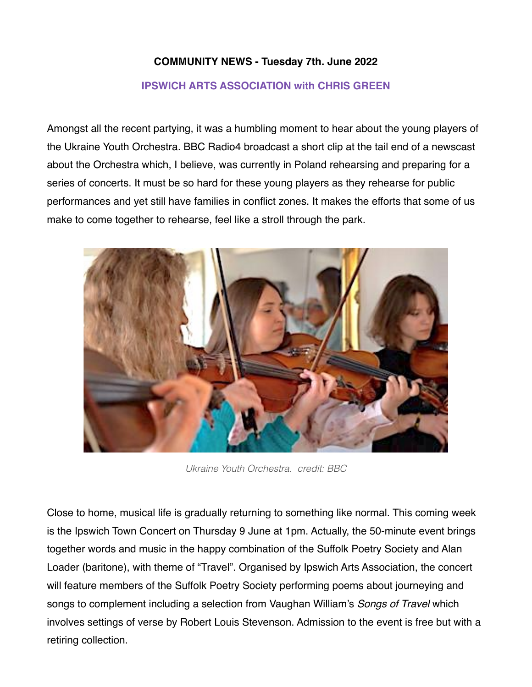## **COMMUNITY NEWS - Tuesday 7th. June 2022**

## **IPSWICH ARTS ASSOCIATION with CHRIS GREEN**

Amongst all the recent partying, it was a humbling moment to hear about the young players of the Ukraine Youth Orchestra. BBC Radio4 broadcast a short clip at the tail end of a newscast about the Orchestra which, I believe, was currently in Poland rehearsing and preparing for a series of concerts. It must be so hard for these young players as they rehearse for public performances and yet still have families in conflict zones. It makes the efforts that some of us make to come together to rehearse, feel like a stroll through the park.



*Ukraine Youth Orchestra. credit: BBC*

Close to home, musical life is gradually returning to something like normal. This coming week is the Ipswich Town Concert on Thursday 9 June at 1pm. Actually, the 50-minute event brings together words and music in the happy combination of the Suffolk Poetry Society and Alan Loader (baritone), with theme of "Travel". Organised by Ipswich Arts Association, the concert will feature members of the Suffolk Poetry Society performing poems about journeying and songs to complement including a selection from Vaughan William's *Songs of Travel* which involves settings of verse by Robert Louis Stevenson. Admission to the event is free but with a retiring collection.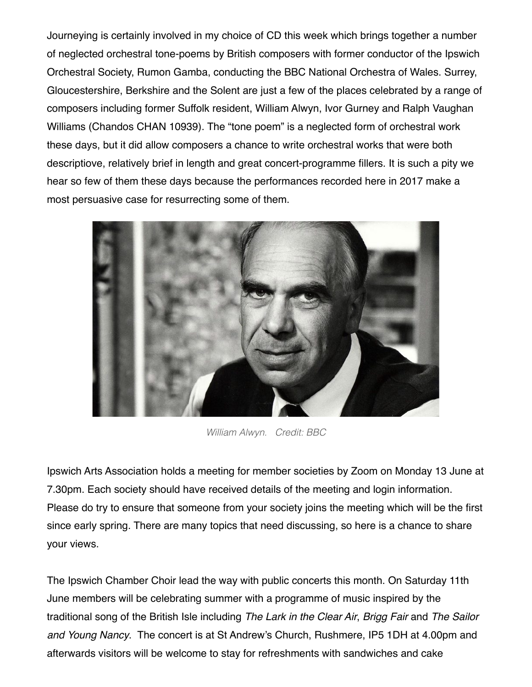Journeying is certainly involved in my choice of CD this week which brings together a number of neglected orchestral tone-poems by British composers with former conductor of the Ipswich Orchestral Society, Rumon Gamba, conducting the BBC National Orchestra of Wales. Surrey, Gloucestershire, Berkshire and the Solent are just a few of the places celebrated by a range of composers including former Suffolk resident, William Alwyn, Ivor Gurney and Ralph Vaughan Williams (Chandos CHAN 10939). The "tone poem" is a neglected form of orchestral work these days, but it did allow composers a chance to write orchestral works that were both descriptiove, relatively brief in length and great concert-programme fillers. It is such a pity we hear so few of them these days because the performances recorded here in 2017 make a most persuasive case for resurrecting some of them.



*William Alwyn. Credit: BBC*

Ipswich Arts Association holds a meeting for member societies by Zoom on Monday 13 June at 7.30pm. Each society should have received details of the meeting and login information. Please do try to ensure that someone from your society joins the meeting which will be the first since early spring. There are many topics that need discussing, so here is a chance to share your views.

The Ipswich Chamber Choir lead the way with public concerts this month. On Saturday 11th June members will be celebrating summer with a programme of music inspired by the traditional song of the British Isle including *The Lark in the Clear Air*, *Brigg Fair* and *The Sailor and Young Nancy*. The concert is at St Andrew's Church, Rushmere, IP5 1DH at 4.00pm and afterwards visitors will be welcome to stay for refreshments with sandwiches and cake